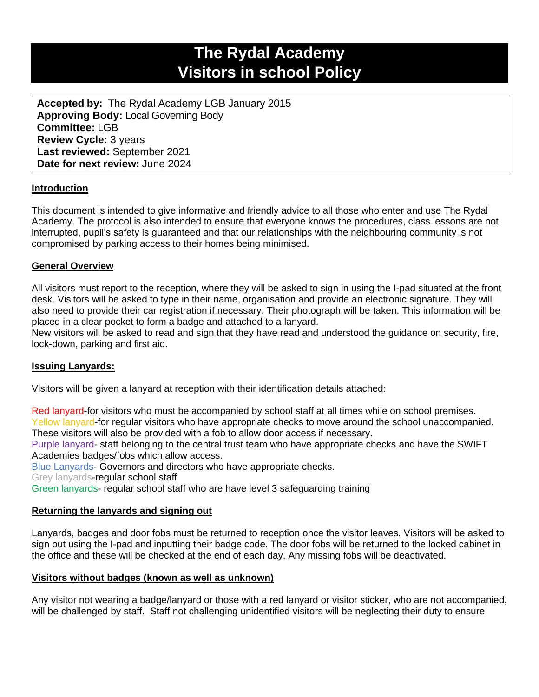# **The Rydal Academy Visitors in school Policy**

**Accepted by:** The Rydal Academy LGB January 2015 **Approving Body:** Local Governing Body **Committee:** LGB **Review Cycle:** 3 years **Last reviewed:** September 2021 **Date for next review:** June 2024

# **Introduction**

This document is intended to give informative and friendly advice to all those who enter and use The Rydal Academy. The protocol is also intended to ensure that everyone knows the procedures, class lessons are not interrupted, pupil's safety is guaranteed and that our relationships with the neighbouring community is not compromised by parking access to their homes being minimised.

# **General Overview**

All visitors must report to the reception, where they will be asked to sign in using the I-pad situated at the front desk. Visitors will be asked to type in their name, organisation and provide an electronic signature. They will also need to provide their car registration if necessary. Their photograph will be taken. This information will be placed in a clear pocket to form a badge and attached to a lanyard.

New visitors will be asked to read and sign that they have read and understood the guidance on security, fire, lock-down, parking and first aid.

# **Issuing Lanyards:**

Visitors will be given a lanyard at reception with their identification details attached:

Red lanyard-for visitors who must be accompanied by school staff at all times while on school premises. Yellow lanyard-for regular visitors who have appropriate checks to move around the school unaccompanied. These visitors will also be provided with a fob to allow door access if necessary.

Purple lanyard- staff belonging to the central trust team who have appropriate checks and have the SWIFT Academies badges/fobs which allow access.

Blue Lanyards- Governors and directors who have appropriate checks.

Grey lanyards-regular school staff

Green lanyards- regular school staff who are have level 3 safeguarding training

# **Returning the lanyards and signing out**

Lanyards, badges and door fobs must be returned to reception once the visitor leaves. Visitors will be asked to sign out using the I-pad and inputting their badge code. The door fobs will be returned to the locked cabinet in the office and these will be checked at the end of each day. Any missing fobs will be deactivated.

#### **Visitors without badges (known as well as unknown)**

Any visitor not wearing a badge/lanyard or those with a red lanyard or visitor sticker, who are not accompanied, will be challenged by staff. Staff not challenging unidentified visitors will be neglecting their duty to ensure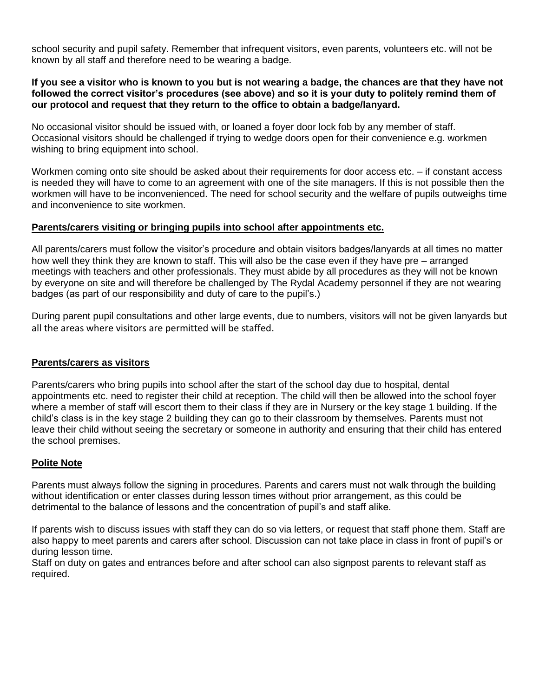school security and pupil safety. Remember that infrequent visitors, even parents, volunteers etc. will not be known by all staff and therefore need to be wearing a badge.

## **If you see a visitor who is known to you but is not wearing a badge, the chances are that they have not followed the correct visitor's procedures (see above) and so it is your duty to politely remind them of our protocol and request that they return to the office to obtain a badge/lanyard.**

No occasional visitor should be issued with, or loaned a foyer door lock fob by any member of staff. Occasional visitors should be challenged if trying to wedge doors open for their convenience e.g. workmen wishing to bring equipment into school.

Workmen coming onto site should be asked about their requirements for door access etc. – if constant access is needed they will have to come to an agreement with one of the site managers. If this is not possible then the workmen will have to be inconvenienced. The need for school security and the welfare of pupils outweighs time and inconvenience to site workmen.

## **Parents/carers visiting or bringing pupils into school after appointments etc.**

All parents/carers must follow the visitor's procedure and obtain visitors badges/lanyards at all times no matter how well they think they are known to staff. This will also be the case even if they have pre – arranged meetings with teachers and other professionals. They must abide by all procedures as they will not be known by everyone on site and will therefore be challenged by The Rydal Academy personnel if they are not wearing badges (as part of our responsibility and duty of care to the pupil's.)

During parent pupil consultations and other large events, due to numbers, visitors will not be given lanyards but all the areas where visitors are permitted will be staffed.

# **Parents/carers as visitors**

Parents/carers who bring pupils into school after the start of the school day due to hospital, dental appointments etc. need to register their child at reception. The child will then be allowed into the school foyer where a member of staff will escort them to their class if they are in Nursery or the key stage 1 building. If the child's class is in the key stage 2 building they can go to their classroom by themselves. Parents must not leave their child without seeing the secretary or someone in authority and ensuring that their child has entered the school premises.

# **Polite Note**

Parents must always follow the signing in procedures. Parents and carers must not walk through the building without identification or enter classes during lesson times without prior arrangement, as this could be detrimental to the balance of lessons and the concentration of pupil's and staff alike.

If parents wish to discuss issues with staff they can do so via letters, or request that staff phone them. Staff are also happy to meet parents and carers after school. Discussion can not take place in class in front of pupil's or during lesson time.

Staff on duty on gates and entrances before and after school can also signpost parents to relevant staff as required.